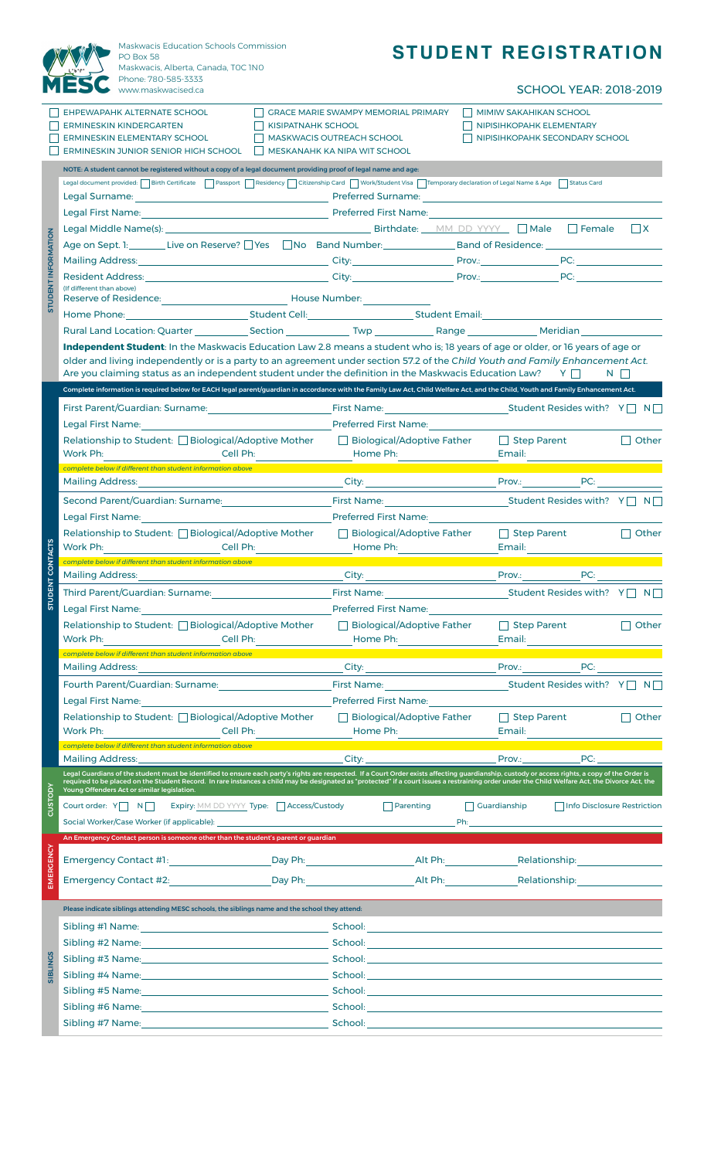|                            | Maskwacis Education Schools Commission<br>PO Box 58                                                                                                                                                                                                                                                                                                                                                                                               |                           |                                                                                                                                                                                                                                                                |                                                                                                                                                                                                                                | <b>STUDENT REGISTRATION</b>                                                                                                                                                                                                                                |                                    |              |  |  |  |  |
|----------------------------|---------------------------------------------------------------------------------------------------------------------------------------------------------------------------------------------------------------------------------------------------------------------------------------------------------------------------------------------------------------------------------------------------------------------------------------------------|---------------------------|----------------------------------------------------------------------------------------------------------------------------------------------------------------------------------------------------------------------------------------------------------------|--------------------------------------------------------------------------------------------------------------------------------------------------------------------------------------------------------------------------------|------------------------------------------------------------------------------------------------------------------------------------------------------------------------------------------------------------------------------------------------------------|------------------------------------|--------------|--|--|--|--|
|                            | Maskwacis, Alberta, Canada, TOC INO<br>Phone: 780-585-3333<br>www.maskwacised.ca                                                                                                                                                                                                                                                                                                                                                                  |                           |                                                                                                                                                                                                                                                                |                                                                                                                                                                                                                                |                                                                                                                                                                                                                                                            | <b>SCHOOL YEAR: 2018-2019</b>      |              |  |  |  |  |
|                            | EHPEWAPAHK ALTERNATE SCHOOL<br><b>ERMINESKIN KINDERGARTEN</b><br><b>ERMINESKIN ELEMENTARY SCHOOL</b><br>ERMINESKIN JUNIOR SENIOR HIGH SCHOOL                                                                                                                                                                                                                                                                                                      | <b>KISIPATNAHK SCHOOL</b> | <b>GRACE MARIE SWAMPY MEMORIAL PRIMARY</b><br><b>MASKWACIS OUTREACH SCHOOL</b><br>MESKANAHK KA NIPA WIT SCHOOL                                                                                                                                                 |                                                                                                                                                                                                                                | <b>MIMIW SAKAHIKAN SCHOOL</b><br>NIPISIHKOPAHK ELEMENTARY<br>NIPISIHKOPAHK SECONDARY SCHOOL                                                                                                                                                                |                                    |              |  |  |  |  |
|                            | NOTE: A student cannot be registered without a copy of a legal document providing proof of legal name and age:                                                                                                                                                                                                                                                                                                                                    |                           |                                                                                                                                                                                                                                                                |                                                                                                                                                                                                                                |                                                                                                                                                                                                                                                            |                                    |              |  |  |  |  |
|                            | Legal document provided:     Birth Certificate     Passport     Residency     Citizenship Card     Work/Student Visa       Temporary declaration of Legal Name & Age     Status Card                                                                                                                                                                                                                                                              |                           |                                                                                                                                                                                                                                                                |                                                                                                                                                                                                                                |                                                                                                                                                                                                                                                            |                                    |              |  |  |  |  |
|                            |                                                                                                                                                                                                                                                                                                                                                                                                                                                   |                           |                                                                                                                                                                                                                                                                |                                                                                                                                                                                                                                |                                                                                                                                                                                                                                                            |                                    |              |  |  |  |  |
|                            |                                                                                                                                                                                                                                                                                                                                                                                                                                                   |                           |                                                                                                                                                                                                                                                                | $\Box$ x                                                                                                                                                                                                                       |                                                                                                                                                                                                                                                            |                                    |              |  |  |  |  |
| <b>STUDENT INFORMATION</b> |                                                                                                                                                                                                                                                                                                                                                                                                                                                   |                           |                                                                                                                                                                                                                                                                |                                                                                                                                                                                                                                |                                                                                                                                                                                                                                                            |                                    |              |  |  |  |  |
|                            |                                                                                                                                                                                                                                                                                                                                                                                                                                                   |                           |                                                                                                                                                                                                                                                                |                                                                                                                                                                                                                                |                                                                                                                                                                                                                                                            |                                    |              |  |  |  |  |
|                            | (If different than above)                                                                                                                                                                                                                                                                                                                                                                                                                         |                           |                                                                                                                                                                                                                                                                |                                                                                                                                                                                                                                |                                                                                                                                                                                                                                                            |                                    |              |  |  |  |  |
|                            | Reserve of Residence: Network and Muslim Muslim Muslim Muslim Muslim Muslim Muslim Muslim Muslim Muslim Muslim                                                                                                                                                                                                                                                                                                                                    |                           |                                                                                                                                                                                                                                                                |                                                                                                                                                                                                                                |                                                                                                                                                                                                                                                            |                                    |              |  |  |  |  |
|                            |                                                                                                                                                                                                                                                                                                                                                                                                                                                   |                           |                                                                                                                                                                                                                                                                |                                                                                                                                                                                                                                |                                                                                                                                                                                                                                                            |                                    |              |  |  |  |  |
|                            | Independent Student: In the Maskwacis Education Law 2.8 means a student who is: 18 years of age or older, or 16 years of age or                                                                                                                                                                                                                                                                                                                   |                           |                                                                                                                                                                                                                                                                |                                                                                                                                                                                                                                |                                                                                                                                                                                                                                                            |                                    |              |  |  |  |  |
|                            | older and living independently or is a party to an agreement under section 57.2 of the Child Youth and Family Enhancement Act.<br>Are you claiming status as an independent student under the definition in the Maskwacis Education Law? $\forall \Box$<br>$N \mid \; \; \; \;$                                                                                                                                                                   |                           |                                                                                                                                                                                                                                                                |                                                                                                                                                                                                                                |                                                                                                                                                                                                                                                            |                                    |              |  |  |  |  |
|                            | Complete information is required below for EACH legal parent/guardian in accordance with the Family Law Act, Child Welfare Act, and the Child, Youth and Family Enhancement Act.                                                                                                                                                                                                                                                                  |                           |                                                                                                                                                                                                                                                                |                                                                                                                                                                                                                                |                                                                                                                                                                                                                                                            |                                    |              |  |  |  |  |
|                            | First Parent/Guardian: Surname: The Communication of the Communication of the Communication of the Communication of the Communication of the Communication of the Communication of the Communication of the Communication of t                                                                                                                                                                                                                    |                           |                                                                                                                                                                                                                                                                |                                                                                                                                                                                                                                |                                                                                                                                                                                                                                                            |                                    |              |  |  |  |  |
|                            | Relationship to Student: Biological/Adoptive Mother<br>Work Ph:<br>Cell Ph:                                                                                                                                                                                                                                                                                                                                                                       |                           |                                                                                                                                                                                                                                                                | Biological/Adoptive Father<br>Home Ph: <u>______________________</u>                                                                                                                                                           |                                                                                                                                                                                                                                                            | $\Box$ Step Parent<br>Email:       | $\Box$ Other |  |  |  |  |
|                            | complete below if different than student information above                                                                                                                                                                                                                                                                                                                                                                                        |                           |                                                                                                                                                                                                                                                                |                                                                                                                                                                                                                                |                                                                                                                                                                                                                                                            |                                    |              |  |  |  |  |
| <b>ACTS</b>                | Mailing Address: National Address: National Address: National Address: National Address: National Address: National Address: National Address: National Address: National Address: National Address: National Address: Nationa                                                                                                                                                                                                                    |                           |                                                                                                                                                                                                                                                                |                                                                                                                                                                                                                                | <b>City:</b> City: City: City: City: City: City: City: City: City: City: City: City: City: City: City: City: City: City: City: City: City: City: City: City: City: City: City: City: City: City: City: City: City: City: City: City                        |                                    |              |  |  |  |  |
|                            | Legal First Name: Name and Allen and Allen                                                                                                                                                                                                                                                                                                                                                                                                        |                           |                                                                                                                                                                                                                                                                | <b>Preferred First Name:</b>                                                                                                                                                                                                   |                                                                                                                                                                                                                                                            |                                    |              |  |  |  |  |
|                            | Relationship to Student: □ Biological/Adoptive Mother<br>Work Ph: _______________________________Cell Ph: _______________________________                                                                                                                                                                                                                                                                                                         |                           | □ Biological/Adoptive Father<br>Home Ph: the contract of the contract of the contract of the contract of the contract of the contract of the contract of the contract of the contract of the contract of the contract of the contract of the contract of the c |                                                                                                                                                                                                                                | $\Box$ Step Parent<br>Email: <b>Email:</b>                                                                                                                                                                                                                 |                                    | $\Box$ Other |  |  |  |  |
| z<br>co                    | complete below if different than student information above                                                                                                                                                                                                                                                                                                                                                                                        |                           |                                                                                                                                                                                                                                                                |                                                                                                                                                                                                                                |                                                                                                                                                                                                                                                            |                                    |              |  |  |  |  |
|                            | <b>Mailing Address:</b><br>Third Parent/Guardian: Surname: National Action of the Contract of the Contract of the Contract of the Contract of the Contract of the Contract of the Contract of the Contract of the Contract of the Contract of the Contrac                                                                                                                                                                                         |                           | City:                                                                                                                                                                                                                                                          |                                                                                                                                                                                                                                | <b>Prov.:</b>                                                                                                                                                                                                                                              | PC:<br>Student Resides with? Y□ N□ |              |  |  |  |  |
| <b>STUDENT</b>             | Legal First Name: The contract of the contract of the contract of the contract of the contract of the contract of the contract of the contract of the contract of the contract of the contract of the contract of the contract                                                                                                                                                                                                                    |                           | First Name: The Committee of the Committee of the Committee of the Committee of the Committee of the Committee                                                                                                                                                 |                                                                                                                                                                                                                                |                                                                                                                                                                                                                                                            |                                    |              |  |  |  |  |
|                            | Relationship to Student: □ Biological/Adoptive Mother<br>Work Ph:<br>Cell Ph:                                                                                                                                                                                                                                                                                                                                                                     |                           | Biological/Adoptive Father<br>Home Ph: North State State State State State State State State State State State State State State State State State State State State State State State State State State State State State State State State State State Sta   |                                                                                                                                                                                                                                |                                                                                                                                                                                                                                                            | $\Box$ Step Parent<br>Email:       | $\Box$ Other |  |  |  |  |
|                            | complete below if different than student information above<br>Mailing Address:                                                                                                                                                                                                                                                                                                                                                                    |                           |                                                                                                                                                                                                                                                                |                                                                                                                                                                                                                                | Prov.:                                                                                                                                                                                                                                                     | PC:                                |              |  |  |  |  |
|                            | <u> 1989 - Johann Stein, mars an de Brasilia (b. 1989)</u>                                                                                                                                                                                                                                                                                                                                                                                        |                           |                                                                                                                                                                                                                                                                | First Name: The Company of the Company of the Company of the Company of the Company of the Company of the Company of the Company of the Company of the Company of the Company of the Company of the Company of the Company of  |                                                                                                                                                                                                                                                            | Student Resides with? $Y \cap N$   |              |  |  |  |  |
|                            | Legal First Name: Name and Allen and Allen and Allen and Allen and Allen and Allen                                                                                                                                                                                                                                                                                                                                                                |                           | <b>Preferred First Name:</b>                                                                                                                                                                                                                                   |                                                                                                                                                                                                                                |                                                                                                                                                                                                                                                            |                                    |              |  |  |  |  |
|                            | Relationship to Student: □ Biological/Adoptive Mother<br>Work Ph:<br>Cell Ph:                                                                                                                                                                                                                                                                                                                                                                     |                           | $\Box$ Biological/Adoptive Father<br>Home Ph:                                                                                                                                                                                                                  |                                                                                                                                                                                                                                | $\Box$ Step Parent                                                                                                                                                                                                                                         |                                    | Other        |  |  |  |  |
|                            | complete below if different than student information above<br>Mailing Address:                                                                                                                                                                                                                                                                                                                                                                    |                           |                                                                                                                                                                                                                                                                | City: the contract of the contract of the contract of the contract of the contract of the contract of the contract of the contract of the contract of the contract of the contract of the contract of the contract of the cont | Prov.: The contract of the contract of the contract of the contract of the contract of the contract of the contract of the contract of the contract of the contract of the contract of the contract of the contract of the con                             | PC:                                |              |  |  |  |  |
|                            | Legal Guardians of the student must be identified to ensure each party's rights are respected. If a Court Order exists affecting guardianship, custody or access rights, a copy of the Order is<br>required to be placed on the Student Record. In rare instances a child may be designated as "protected" if a court issues a restraining order under the Child Welfare Act, the Divorce Act, the<br>Young Offenders Act or similar legislation. |                           |                                                                                                                                                                                                                                                                |                                                                                                                                                                                                                                |                                                                                                                                                                                                                                                            |                                    |              |  |  |  |  |
| CUSTODY                    | Court order: Y N N Expiry: MM DD YYYY Type: Access/Custody                                                                                                                                                                                                                                                                                                                                                                                        |                           |                                                                                                                                                                                                                                                                | $\Box$ Parenting                                                                                                                                                                                                               | $\Box$ Guardianship<br><b>Philadelphia</b> and the contract of the contract of the contract of the contract of the contract of the contract of the contract of the contract of the contract of the contract of the contract of the contract of the contrac | Info Disclosure Restriction        |              |  |  |  |  |
|                            | An Emergency Contact person is someone other than the student's parent or guardian                                                                                                                                                                                                                                                                                                                                                                |                           |                                                                                                                                                                                                                                                                |                                                                                                                                                                                                                                |                                                                                                                                                                                                                                                            |                                    |              |  |  |  |  |
| ERGENCY                    | Emergency Contact #1: Network and Day Ph: Network of Alt Ph: Nelationship: Nelationship: Nelationship: Nelationship:                                                                                                                                                                                                                                                                                                                              |                           |                                                                                                                                                                                                                                                                |                                                                                                                                                                                                                                |                                                                                                                                                                                                                                                            |                                    |              |  |  |  |  |
|                            | Emergency Contact #2: Day Ph: Day Ph: Alt Ph: Relationship: Relationship:                                                                                                                                                                                                                                                                                                                                                                         |                           |                                                                                                                                                                                                                                                                |                                                                                                                                                                                                                                |                                                                                                                                                                                                                                                            |                                    |              |  |  |  |  |
|                            | Please indicate siblings attending MESC schools, the siblings name and the school they attend:                                                                                                                                                                                                                                                                                                                                                    |                           |                                                                                                                                                                                                                                                                |                                                                                                                                                                                                                                |                                                                                                                                                                                                                                                            |                                    |              |  |  |  |  |
|                            | Sibling #1 Name: The Communication of the School: Communication of the Communication of the Communication of the Communication of the Communication of the Communication of the Communication of the Communication of the Comm                                                                                                                                                                                                                    |                           |                                                                                                                                                                                                                                                                |                                                                                                                                                                                                                                |                                                                                                                                                                                                                                                            |                                    |              |  |  |  |  |
|                            |                                                                                                                                                                                                                                                                                                                                                                                                                                                   |                           |                                                                                                                                                                                                                                                                |                                                                                                                                                                                                                                |                                                                                                                                                                                                                                                            |                                    |              |  |  |  |  |
| SIBLINGS                   |                                                                                                                                                                                                                                                                                                                                                                                                                                                   |                           |                                                                                                                                                                                                                                                                |                                                                                                                                                                                                                                |                                                                                                                                                                                                                                                            |                                    |              |  |  |  |  |
|                            |                                                                                                                                                                                                                                                                                                                                                                                                                                                   |                           |                                                                                                                                                                                                                                                                |                                                                                                                                                                                                                                |                                                                                                                                                                                                                                                            |                                    |              |  |  |  |  |
|                            |                                                                                                                                                                                                                                                                                                                                                                                                                                                   |                           | Sibling #6 Name: Name and American Controller School: American Controller School: American Controller School: American Controller School: American Controller School: American Controller School: American Controller School:                                  |                                                                                                                                                                                                                                |                                                                                                                                                                                                                                                            |                                    |              |  |  |  |  |
|                            |                                                                                                                                                                                                                                                                                                                                                                                                                                                   |                           |                                                                                                                                                                                                                                                                |                                                                                                                                                                                                                                |                                                                                                                                                                                                                                                            |                                    |              |  |  |  |  |
|                            |                                                                                                                                                                                                                                                                                                                                                                                                                                                   |                           |                                                                                                                                                                                                                                                                |                                                                                                                                                                                                                                |                                                                                                                                                                                                                                                            |                                    |              |  |  |  |  |